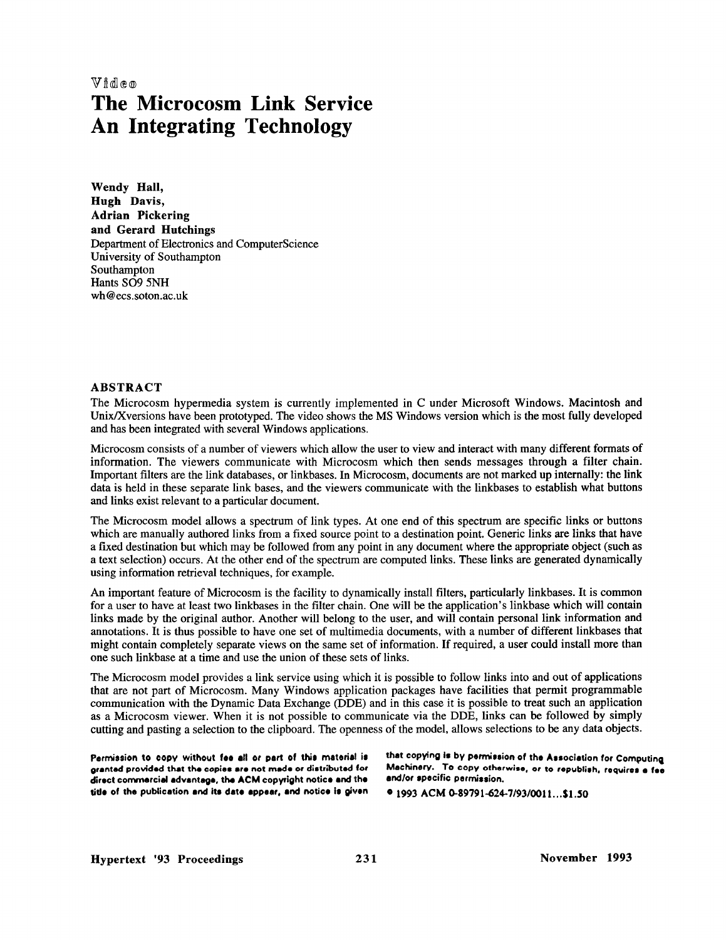## Vildlea) The Microcosm Link Service An Integrating Technology

Wendy Hall, Hugh Davis, Adrian Pickering and Gerard Hutchings Department of Electronics and ComputerScience University of Southampton Southampton Hants SO9 5NH wh@ecs.soton.ac.uk

## ABSTRACT

The Microcosm hypermedia system is currently implemented in C under Microsoft Windows. Macintosh and Unix/Xversions have been prototyped. The video shows the MS Windows version which is the most fully developed and has been integrated with several Windows applications.

Microcosm consists of a number of viewers which allow the user to view and interact with many different formats of information. The viewers communicate with Microcosm which then sends messages through a filter chain. Important filters are the link databases, or linkbases, In Microcosm, documents are not marked up internally: the link data is held in these separate link bases, and the viewers communicate with the linkbases to establish what buttons and links exist relevant to a particular document.

The Microcosm model allows a spectrum of link types. At one end of this spectrum are specific links or buttons which are manually authored links from a fixed source point to a destination point, Generic links are links that have a fixed destination but which may be followed from any point in any document where the appropriate object (such as a text selection) occurs. At the other end of the spectrum are computed links. These links are generated dynamically using information retrieval techniques, for example.

An important feature of Microcosm is the facility to dynamically install filters, particularly linkbases. It is common for a user to have at least two linkbases in the filter chain. One will be the application's Iinkbase which will contain links made by the original author. Another will belong to the user, and will contain personal link information and annotations. It is thus possible to have one set of multimedia documents, with a number of different linkbases that might contain completely separate views on the same set of information. If required, a user could install more than one such linkbase at a time and use the union of these sets of links.

The Microcosm model provides a link service using which it is possible to follow links into and out of applications that are not part of Microcosm. Many Windows application packages have facilities that permit programmable communication with the Dynamic Data Exchange (DDE) and in this case it is possible to treat such an application as a Microcosm viewer. When it is not possible to communicate via the DDE, links can be followed by simply cutting and pasting a selection to the clipboard. The openness of the model, allows selections to be any data objects.

Permission to copy without fee all or part of this material is that copying is by permission of the Association for Computing<br>An anted provided that the copies are not made or distributed for Machinery. To copy otherwise, granted provided that the copies are not made or distributed for ... Machinery. To copy other<br>direct commercial advantens, the ACM convright notice and the ... and/or specific permission. direct commercial advantage, the ACM copyright notice and the title of the publication and its date appear, and notice is  $given$   $\bullet$  1993 ACM 0-89791-624-7/93/0011...\$1.50